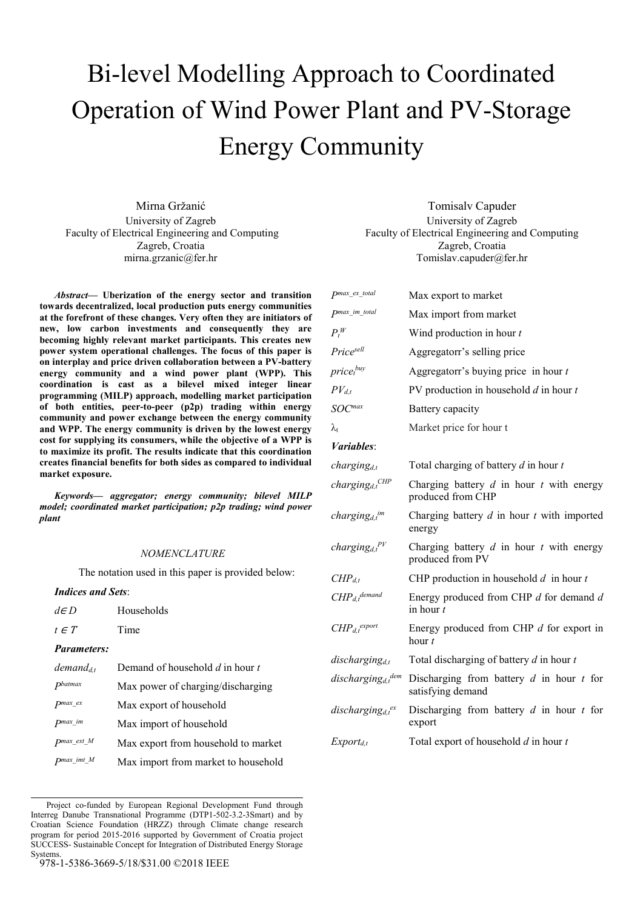# Bi-level Modelling Approach to Coordinated Operation of Wind Power Plant and PV-Storage Energy Community

Mirna Gržanić University of Zagreb Faculty of Electrical Engineering and Computing Zagreb, Croatia mirna.grzanic@fer.hr

*Abstract***— Uberization of the energy sector and transition towards decentralized, local production puts energy communities at the forefront of these changes. Very often they are initiators of new, low carbon investments and consequently they are becoming highly relevant market participants. This creates new power system operational challenges. The focus of this paper is on interplay and price driven collaboration between a PV-battery energy community and a wind power plant (WPP). This coordination is cast as a bilevel mixed integer linear programming (MILP) approach, modelling market participation of both entities, peer-to-peer (p2p) trading within energy community and power exchange between the energy community and WPP. The energy community is driven by the lowest energy cost for supplying its consumers, while the objective of a WPP is to maximize its profit. The results indicate that this coordination creates financial benefits for both sides as compared to individual market exposure.** 

*Keywords— aggregator; energy community; bilevel MILP model; coordinated market participation; p2p trading; wind power plant* 

#### *NOMENCLATURE*

The notation used in this paper is provided below:

### *Indices and Sets*:

| $d \in D$               | Households                          |
|-------------------------|-------------------------------------|
| $t \in T$               | Time                                |
| <i>Parameters:</i>      |                                     |
| $demand_{dt}$           | Demand of household d in hour t     |
| $\boldsymbol{p}$ batmax | Max power of charging/discharging   |
| $Pmax\_ex$              | Max export of household             |
| $p_{max\_im}$           | Max import of household             |
| $Pmax$ ext $M$          | Max export from household to market |
| ∍max_imt_M              | Max import from market to household |

Project co-funded by European Regional Development Fund through Interreg Danube Transnational Programme (DTP1-502-3.2-3Smart) and by Croatian Science Foundation (HRZZ) through Climate change research program for period 2015-2016 supported by Government of Croatia project SUCCESS- Sustainable Concept for Integration of Distributed Energy Storage **Systems** 

978-1-5386-3669-5/18/\$31.00 ©2018 IEEE

Tomisalv Capuder University of Zagreb Faculty of Electrical Engineering and Computing Zagreb, Croatia Tomislav.capuder@fer.hr

| $p$ max_ex_total                          | Max export to market                                              |  |
|-------------------------------------------|-------------------------------------------------------------------|--|
| $p$ max_im_total                          | Max import from market                                            |  |
| $P_t^W$                                   | Wind production in hour $t$                                       |  |
| Pricesell                                 | Aggregatorr's selling price                                       |  |
| $price_t^{buy}$                           | Aggregatorr's buying price in hour $t$                            |  |
| $PV_{d,t}$                                | PV production in household $d$ in hour $t$                        |  |
| $SOC^{max}$                               | Battery capacity                                                  |  |
| $\lambda_{\rm f}$                         | Market price for hour t                                           |  |
| <i>Variables:</i>                         |                                                                   |  |
| $charge_{d,t}$                            | Total charging of battery $d$ in hour $t$                         |  |
| charging <sub>d,t</sub> $^{CHP}$          | Charging battery $d$ in hour $t$ with energy<br>produced from CHP |  |
| charging <sub>d,t</sub> im                | Charging battery $d$ in hour $t$ with imported<br>energy          |  |
| charging <sub>d,t</sub> $^{PV}$           | Charging battery $d$ in hour $t$ with energy<br>produced from PV  |  |
| $CHP_{d,t}$                               | CHP production in household $d$ in hour $t$                       |  |
| $CHP_{d,t}$ <sub>demand</sub>             | Energy produced from CHP d for demand d<br>in hour $t$            |  |
| $CHP_{d,t}^{export}$                      | Energy produced from CHP $d$ for export in<br>hour $t$            |  |
| $discharging_{d,t}$                       | Total discharging of battery d in hour t                          |  |
| discharging <sub>d,t</sub> <sup>dem</sup> | Discharging from battery $d$ in hour $t$ for<br>satisfying demand |  |
| discharging <sub>d,t</sub> ex             | Discharging from battery $d$ in hour $t$ for<br>export            |  |
| $Export_{d,t}$                            | Total export of household d in hour t                             |  |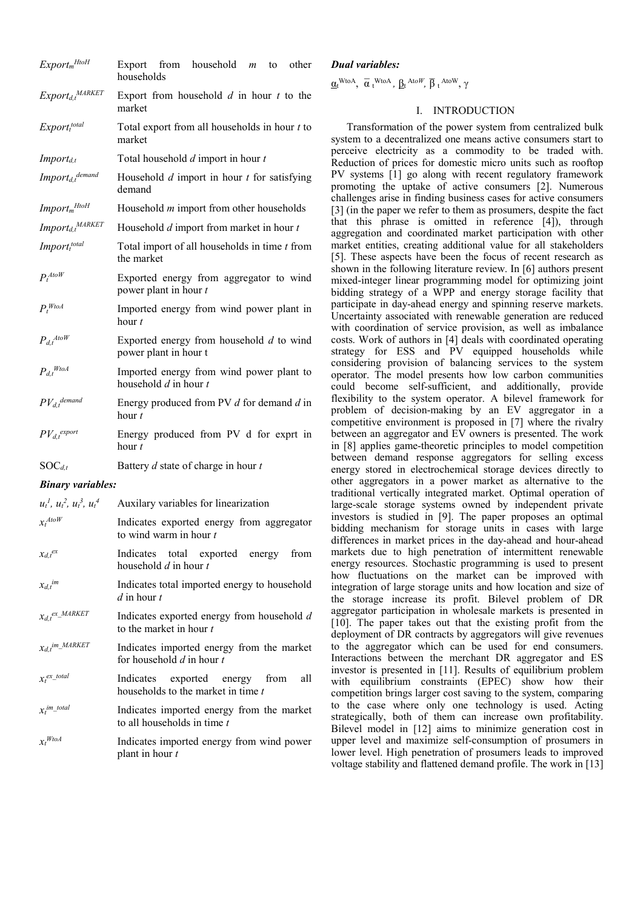| Export <sub>m</sub> HtoH              | Export from household $m$<br>other<br>to<br>households                     |  |
|---------------------------------------|----------------------------------------------------------------------------|--|
| Export <sub>d,t</sub> MARKET          | Export from household $d$ in hour $t$ to the<br>market                     |  |
| Export <sub>t</sub> total             | Total export from all households in hour $t$ to<br>market                  |  |
| $Import_{d,t}$                        | Total household d import in hour t                                         |  |
| Import <sub>d,t</sub> demand          | Household $d$ import in hour $t$ for satisfying<br>demand                  |  |
| $Import_m^{Hot}$                      | Household $m$ import from other households                                 |  |
| Import <sub>d,t</sub> MARKET          | Household d import from market in hour t                                   |  |
| Import <sub>t</sub> total             | Total import of all households in time $t$ from<br>the market              |  |
| $P_t^{AtoW}$                          | Exported energy from aggregator to wind<br>power plant in hour t           |  |
| $P_t$ <sup>WtoA</sup>                 | Imported energy from wind power plant in<br>hour $t$                       |  |
| $P_{d,t}^{\text{Ato}W}$               | Exported energy from household $d$ to wind<br>power plant in hour t        |  |
| $P_{d,t}$ <sup>WtoA</sup>             | Imported energy from wind power plant to<br>household $d$ in hour $t$      |  |
| $PV_{d.t}$ <sub>demand</sub>          | Energy produced from PV d for demand d in<br>hour $t$                      |  |
| $PV_{d,t}$ <sup>export</sup>          | Energy produced from PV d for exprt in<br>hour $t$                         |  |
| $\mathrm{SOC}_{d,t}$                  | Battery <i>d</i> state of charge in hour <i>t</i>                          |  |
| <b>Binary variables:</b>              |                                                                            |  |
| $u_t^1$ , $u_t^2$ , $u_t^3$ , $u_t^4$ | Auxilary variables for linearization                                       |  |
| $x_t^{AtoW}$                          | Indicates exported energy from aggregator<br>to wind warm in hour $t$      |  |
| ${x_{d,t}}^{ex}$                      | Indicates total exported energy from<br>household $d$ in hour $t$          |  |
| ${x_{d,t}}^{im}$                      | Indicates total imported energy to household<br>$d$ in hour $t$            |  |
| $x_{d,t}$ ex_MARKET                   | Indicates exported energy from household d<br>to the market in hour $t$    |  |
| $x_{d,t}$ im_MARKET                   | Indicates imported energy from the market<br>for household $d$ in hour $t$ |  |

 $x_t^{ex\_total}$ Indicates exported energy from all households to the market in time *t*

- $x_t^{im\_total}$ Indicates imported energy from the market to all households in time *t*
- *xt* Indicates imported energy from wind power plant in hour *t*

## *Dual variables:*

 ${\underline{\alpha}_t}^{WtoA},\,\,\overline{\alpha}_t{}^{WtoA},\,\beta_t{}^{AtoW},\,\overline{\beta}_t{}^{AtoW},\,\gamma$ 

## I. INTRODUCTION

Transformation of the power system from centralized bulk system to a decentralized one means active consumers start to perceive electricity as a commodity to be traded with. Reduction of prices for domestic micro units such as rooftop PV systems [1] go along with recent regulatory framework promoting the uptake of active consumers [2]. Numerous challenges arise in finding business cases for active consumers [3] (in the paper we refer to them as prosumers, despite the fact that this phrase is omitted in reference [4]), through aggregation and coordinated market participation with other market entities, creating additional value for all stakeholders [5]. These aspects have been the focus of recent research as shown in the following literature review. In [6] authors present mixed-integer linear programming model for optimizing joint bidding strategy of a WPP and energy storage facility that participate in day-ahead energy and spinning reserve markets. Uncertainty associated with renewable generation are reduced with coordination of service provision, as well as imbalance costs. Work of authors in [4] deals with coordinated operating strategy for ESS and PV equipped households while considering provision of balancing services to the system operator. The model presents how low carbon communities could become self-sufficient, and additionally, provide flexibility to the system operator. A bilevel framework for problem of decision-making by an EV aggregator in a competitive environment is proposed in [7] where the rivalry between an aggregator and EV owners is presented. The work in [8] applies game-theoretic principles to model competition between demand response aggregators for selling excess energy stored in electrochemical storage devices directly to other aggregators in a power market as alternative to the traditional vertically integrated market. Optimal operation of large-scale storage systems owned by independent private investors is studied in [9]. The paper proposes an optimal bidding mechanism for storage units in cases with large differences in market prices in the day-ahead and hour-ahead markets due to high penetration of intermittent renewable energy resources. Stochastic programming is used to present how fluctuations on the market can be improved with integration of large storage units and how location and size of the storage increase its profit. Bilevel problem of DR aggregator participation in wholesale markets is presented in [10]. The paper takes out that the existing profit from the deployment of DR contracts by aggregators will give revenues to the aggregator which can be used for end consumers. Interactions between the merchant DR aggregator and ES investor is presented in [11]. Results of equilibrium problem with equilibrium constraints (EPEC) show how their competition brings larger cost saving to the system, comparing to the case where only one technology is used. Acting strategically, both of them can increase own profitability. Bilevel model in [12] aims to minimize generation cost in upper level and maximize self-consumption of prosumers in lower level. High penetration of prosumers leads to improved voltage stability and flattened demand profile. The work in [13]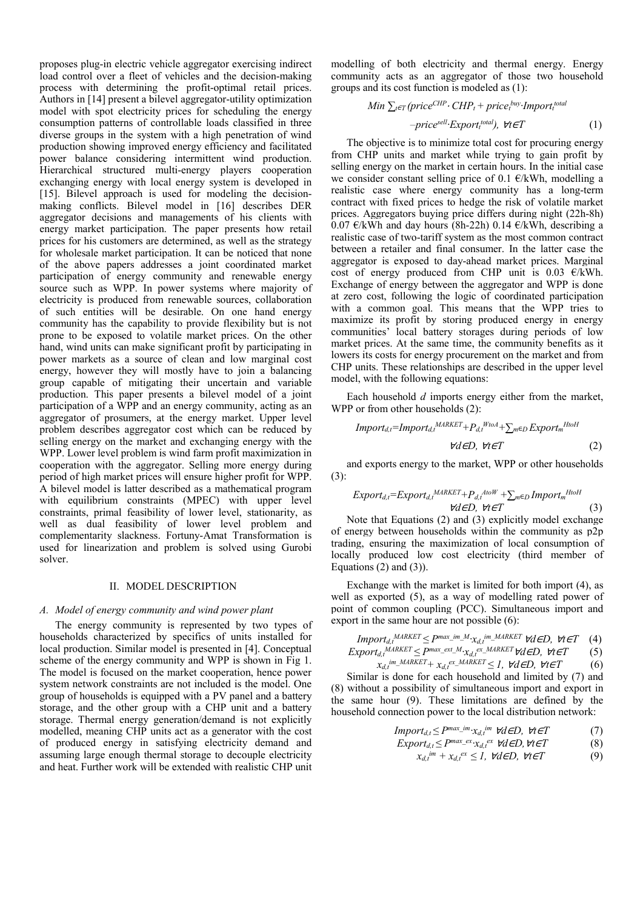proposes plug-in electric vehicle aggregator exercising indirect load control over a fleet of vehicles and the decision-making process with determining the profit-optimal retail prices. Authors in [14] present a bilevel aggregator-utility optimization model with spot electricity prices for scheduling the energy consumption patterns of controllable loads classified in three diverse groups in the system with a high penetration of wind production showing improved energy efficiency and facilitated power balance considering intermittent wind production. Hierarchical structured multi-energy players cooperation exchanging energy with local energy system is developed in [15]. Bilevel approach is used for modeling the decisionmaking conflicts. Bilevel model in [16] describes DER aggregator decisions and managements of his clients with energy market participation. The paper presents how retail prices for his customers are determined, as well as the strategy for wholesale market participation. It can be noticed that none of the above papers addresses a joint coordinated market participation of energy community and renewable energy source such as WPP. In power systems where majority of electricity is produced from renewable sources, collaboration of such entities will be desirable. On one hand energy community has the capability to provide flexibility but is not prone to be exposed to volatile market prices. On the other hand, wind units can make significant profit by participating in power markets as a source of clean and low marginal cost energy, however they will mostly have to join a balancing group capable of mitigating their uncertain and variable production. This paper presents a bilevel model of a joint participation of a WPP and an energy community, acting as an aggregator of prosumers, at the energy market. Upper level problem describes aggregator cost which can be reduced by selling energy on the market and exchanging energy with the WPP. Lower level problem is wind farm profit maximization in cooperation with the aggregator. Selling more energy during period of high market prices will ensure higher profit for WPP. A bilevel model is latter described as a mathematical program with equilibrium constraints (MPEC) with upper level constraints, primal feasibility of lower level, stationarity, as well as dual feasibility of lower level problem and complementarity slackness. Fortuny-Amat Transformation is used for linearization and problem is solved using Gurobi solver.

## II. MODEL DESCRIPTION

#### *A. Model of energy community and wind power plant*

The energy community is represented by two types of households characterized by specifics of units installed for local production. Similar model is presented in [4]. Conceptual scheme of the energy community and WPP is shown in Fig 1. The model is focused on the market cooperation, hence power system network constraints are not included is the model. One group of households is equipped with a PV panel and a battery storage, and the other group with a CHP unit and a battery storage. Thermal energy generation/demand is not explicitly modelled, meaning CHP units act as a generator with the cost of produced energy in satisfying electricity demand and assuming large enough thermal storage to decouple electricity and heat. Further work will be extended with realistic CHP unit

modelling of both electricity and thermal energy. Energy community acts as an aggregator of those two household groups and its cost function is modeled as (1):

Min 
$$
\sum_{i \in T} (price^{CHP} \cdot CHP_t + price_t^{buy} \cdot Import_t^{total}
$$
  
-price<sup>sell</sup> *Export<sub>t</sub><sup>total</sup>),  $\forall t \in T$  (1)*

The objective is to minimize total cost for procuring energy from CHP units and market while trying to gain profit by selling energy on the market in certain hours. In the initial case we consider constant selling price of 0.1  $\epsilon$ /kWh, modelling a realistic case where energy community has a long-term contract with fixed prices to hedge the risk of volatile market prices. Aggregators buying price differs during night (22h-8h) 0.07 €/kWh and day hours (8h-22h) 0.14 €/kWh, describing a realistic case of two-tariff system as the most common contract between a retailer and final consumer. In the latter case the aggregator is exposed to day-ahead market prices. Marginal cost of energy produced from CHP unit is  $0.03 \text{ } \in/kWh$ . Exchange of energy between the aggregator and WPP is done at zero cost, following the logic of coordinated participation with a common goal. This means that the WPP tries to maximize its profit by storing produced energy in energy communities' local battery storages during periods of low market prices. At the same time, the community benefits as it lowers its costs for energy procurement on the market and from CHP units. These relationships are described in the upper level model, with the following equations:

Each household *d* imports energy either from the market, WPP or from other households (2):

$$
Import_{d,t} = Import_{d,t} \xrightarrow{MARKET} + P_{d,t} \xrightarrow{WioA} + \sum_{m \in D} Export_m \xrightarrow{HioH}
$$
  

$$
\forall d \in D, \ \forall t \in T
$$
 (2)

and exports energy to the market, WPP or other households (3):

$$
Export_{d,t} = Export_{d,t}^{MARKET} + P_{d,t}^{AtoW} + \sum_{m \in D} Import_m^{HtoH}
$$
  
 
$$
\forall d \in D, \ \forall t \in T
$$
 (3)

Note that Equations (2) and (3) explicitly model exchange of energy between households within the community as p2p trading, ensuring the maximization of local consumption of locally produced low cost electricity (third member of Equations  $(2)$  and  $(3)$ ).

Exchange with the market is limited for both import (4), as well as exported (5), as a way of modelling rated power of point of common coupling (PCC). Simultaneous import and export in the same hour are not possible (6):

$$
Import_{d,t}^{MARKET} \le P^{max\_im\_M} \cdot x_{d,t}^{im\_MARKET} \ \forall d \in D, \ \forall t \in T \quad (4)
$$

$$
Export_{d,t}^{MARKET} \le P^{max\_ext\_M} \cdot x_{d,t}^{ex\_MARKET} \forall d \in D, \forall t \in T
$$
 (5)

$$
x_{d,t}^{im\_MARKET} + x_{d,t}^{ex\_MARKET} \le 1, \ \forall d \in D, \ \forall t \in T
$$
 (6)

 Similar is done for each household and limited by (7) and (8) without a possibility of simultaneous import and export in the same hour (9). These limitations are defined by the household connection power to the local distribution network:

$$
Import_{d,t} \le P^{max\_im} \cdot x_{d,t}^{im} \ \forall d \in D, \ \forall t \in T
$$
 (7)

$$
Export_{d,t} \le P^{max\_ex} \cdot x_{d,t}^{ex} \ \forall d \in D, \forall t \in T
$$
 (8)

$$
x_{d,t}^{im} + x_{d,t}^{ex} \le 1, \ \forall d \in D, \ \forall t \in T
$$
 (9)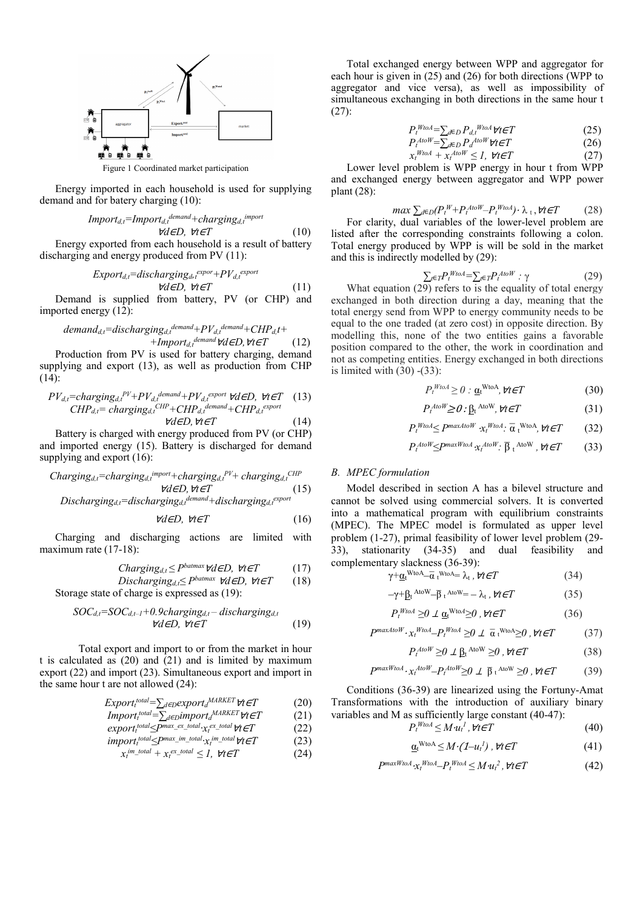

Figure 1 Coordinated market participation

Energy imported in each household is used for supplying demand and for batery charging (10):

$$
Import_{d,t} = Import_{d,t}^{demand} + charging_{d,t}^{import}
$$
  

$$
\forall d \in D, \ \forall t \in T
$$
 (10)

Energy exported from each household is a result of battery discharging and energy produced from PV (11):

$$
Export_{d,i}=discharging_{d,i}^{expor}+PV_{d,i}^{export}
$$
  
\n
$$
\forall d \in D, \forall t \in T
$$
 (11)

 Demand is supplied from battery, PV (or CHP) and imported energy (12):

$$
demand_{d,t} = discharge_{d,t}^{discharging_{d,t}}^{demand} + PV_{d,t}^{demand} + CHP_{d,t} + + Important_{d}^{demand} Vd \in D, Vt \in T
$$
 (12)

 Production from PV is used for battery charging, demand supplying and export (13), as well as production from CHP  $(14)$ :

$$
PV_{d,t} = charging_{d,t}^{PV} + PV_{d,t}^{demand} + PV_{d,t}^{export} \ \forall d \in D, \ \forall t \in T \quad (13)
$$
\n
$$
CHP_{d,t} = charging_{d,t}^{CHP} + CHP_{d,t}^{demand} + CHP_{d,t}^{export}
$$
\n
$$
\forall d \in D, \ \forall t \in T \quad (14)
$$

 Battery is charged with energy produced from PV (or CHP) and imported energy (15). Battery is discharged for demand supplying and export (16):

\n
$$
\text{Charging}_{d,t} = \text{charging}_{d,t}^{\text{import}} + \text{charging}_{d,t}^{\text{PF}} + \text{charging}_{d,t}^{\text{CHP}} \tag{15}
$$
\n

\n\n $\text{Discharging}_{d,t} = \text{discharging}_{d,t}^{\text{demand}} + \text{discharging}_{d,t}^{\text{export}}$ \n

$$
\forall d \in D, \ \forall t \in T \tag{16}
$$

 Charging and discharging actions are limited with maximum rate (17-18):

$$
Charging_{d,t} \leq P^{batmax} \ \forall d \in D, \ \forall t \in T \tag{17}
$$

$$
Discharging_{d,t} \leq P^{batmax} \ \forall d \in D, \ \forall t \in T \qquad (18)
$$

Storage state of charge is expressed as (19):

$$
SOC_{d,t} = SOC_{d,t-1} + 0.9 \text{charging}_{d,t} - \text{discharging}_{d,t}
$$
  

$$
Vd \in D, \ \forall t \in T
$$
 (19)

 Total export and import to or from the market in hour t is calculated as (20) and (21) and is limited by maximum export (22) and import (23). Simultaneous export and import in the same hour t are not allowed (24):

$$
Exportttotal = \sum_{d \in D} exportdMARKET \forall t \in T
$$
 (20)

$$
Importttotal = \sum_{d \in D} importdMARKET \forall t \in T
$$
 (21)

$$
exportttotal \le Pmax_ex_t total \cdot xtex_t total \forall t \in T
$$
 (22)

$$
import_t^{total} \leq P^{max\_im\_total} \cdot x_t^{im\_total} \ \forall t \in T
$$
 (23)

$$
x_t^{im\_total} + x_t^{ex\_total} \le l, \ \forall t \in T \tag{24}
$$

 Total exchanged energy between WPP and aggregator for each hour is given in (25) and (26) for both directions (WPP to aggregator and vice versa), as well as impossibility of simultaneous exchanging in both directions in the same hour t (27):

$$
P_t^{\text{WtoA}} = \sum_{d \in D} P_{d,t}^{\text{WtoA}} \forall t \in T \tag{25}
$$

$$
P_t^{AtoW} = \sum_{d \in D} P_d^{AtoW} \forall t \in T \tag{26}
$$

$$
x_t^{WtoA} + x_t^{AtoW} \le I, \ \forall t \in T
$$
 (27)

 Lower level problem is WPP energy in hour t from WPP and exchanged energy between aggregator and WPP power plant (28):

$$
max \sum_{d \in D} (P_t^W + P_t^{AtoW} - P_t^{WtoA}) \cdot \lambda_t, \forall t \in T \tag{28}
$$

For clarity, dual variables of the lower-level problem are listed after the corresponding constraints following a colon. Total energy produced by WPP is will be sold in the market and this is indirectly modelled by (29):

$$
\sum_{t \in T} P_t^{WtoA} = \sum_{t \in T} P_t^{AtoW} \cdot \gamma \tag{29}
$$

 What equation (29) refers to is the equality of total energy exchanged in both direction during a day, meaning that the total energy send from WPP to energy community needs to be equal to the one traded (at zero cost) in opposite direction. By modelling this, none of the two entities gains a favorable position compared to the other, the work in coordination and not as competing entities. Energy exchanged in both directions is limited with  $(30)$  - $(33)$ :

$$
P_t^{\text{WtoA}} \ge 0 : \underline{\alpha_t}^{\text{WtoA}}, \forall t \in T \tag{30}
$$

$$
P_t^{AtoW} \geq 0: \underline{\beta}_t^{AtoW}, \forall t \in T \tag{31}
$$

$$
P_t^{\text{WtoA}} \le P^{\text{maxAtoW}} \cdot x_t^{\text{WtoA}} \cdot \overline{\alpha}_t^{\text{WtoA}}, \forall t \in T \tag{32}
$$

$$
P_t^{AtoW} \leq P^{maxWtoA} x_t^{AtoW} \colon \overline{\beta}_t^{AtoW}, \forall t \in T \tag{33}
$$

### *B. MPEC formulation*

Model described in section A has a bilevel structure and cannot be solved using commercial solvers. It is converted into a mathematical program with equilibrium constraints (MPEC). The MPEC model is formulated as upper level problem (1-27), primal feasibility of lower level problem (29- 33), stationarity (34-35) and dual feasibility and complementary slackness (36-39):

$$
\gamma + \underline{\alpha_t}^{\text{WtoA}} - \overline{\alpha}_t^{\text{WtoA}} = \lambda_t, \, \forall t \in T \tag{34}
$$

$$
-\gamma + \underline{\beta_t}^{\text{AtoW}} - \overline{\beta_t}^{\text{AtoW}} = -\lambda_t, \forall t \in T
$$
 (35)

$$
P_t^{\text{WtoA}} \ge 0 \perp \underline{\alpha}_t^{\text{WtoA}} \ge 0 \,, \, \forall t \in T \tag{36}
$$

 $P^{maxAtoW} \cdot x_t^{WtoA} - P_t^{WtoA} \ge 0 \perp \overline{\alpha}$ ,  $W^{toA} \ge 0$ ,  $\forall t \in T$  (37)

$$
P_t^{AtoW} \ge 0 \perp \underline{\beta}_t^{AtoW} \ge 0 \,, \, \forall t \in T \tag{38}
$$

$$
PmaxW to A \cdot x_tAto W - P_tAto W \ge 0 \perp \overline{\beta}_tAto W \ge 0, \forall t \in T
$$
 (39)

Conditions (36-39) are linearized using the Fortuny-Amat Transformations with the introduction of auxiliary binary variables and M as sufficiently large constant (40-47):

$$
P_t^{\text{WtoA}} \le M u_t^{\text{I}}, \forall t \in T \tag{40}
$$

$$
\underline{\alpha}_{t}^{\text{WtoA}} \leq M \cdot (1 - u_{t}^{l}), \forall t \in T
$$
 (41)

$$
PmaxW to A xtW to A - PtW to A \leq M ut2, \forall t \in T
$$
 (42)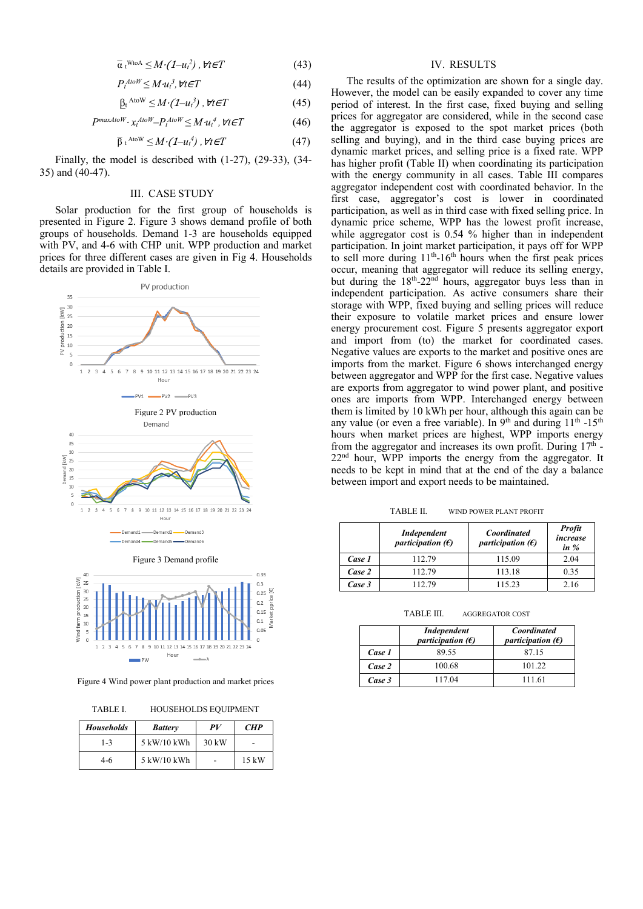$$
\overline{\alpha}_{t}^{\text{WtoA}} \leq M \cdot (1 - u_{t}^{2}) \cdot \forall t \in T
$$
 (43)

$$
P_t^{AtoW} \le M u_t^3, \forall t \in T \tag{44}
$$

$$
\underline{\beta_t}^{\text{AtoW}} \leq M \cdot (1 - u_t^3) \text{ , } \forall t \in T \tag{45}
$$

$$
PmaxAtoW \cdot x_tAtoW - P_tAtoW \le M u_t4, \forall t \in T
$$
 (46)

$$
\overline{\beta} t^{\text{AtoW}} \leq M \cdot (1 - u_t^4) , \, \forall t \in T \tag{47}
$$

Finally, the model is described with (1-27), (29-33), (34- 35) and (40-47).

## III. CASE STUDY

 Solar production for the first group of households is presented in Figure 2. Figure 3 shows demand profile of both groups of households. Demand 1-3 are households equipped with PV, and 4-6 with CHP unit. WPP production and market prices for three different cases are given in Fig 4. Households details are provided in Table I.



Figure 3 Demand profile



Figure 4 Wind power plant production and market prices

TABLE I. HOUSEHOLDS EQUIPMENT

| <b>Households</b> | <b>Battery</b> | PV              | <b>CHP</b>      |
|-------------------|----------------|-----------------|-----------------|
| 1-3               | 5 kW/10 kWh    | $30 \text{ kW}$ |                 |
| 4-6               | 5 kW/10 kWh    |                 | $15 \text{ kW}$ |

## IV. RESULTS

 The results of the optimization are shown for a single day. However, the model can be easily expanded to cover any time period of interest. In the first case, fixed buying and selling prices for aggregator are considered, while in the second case the aggregator is exposed to the spot market prices (both selling and buying), and in the third case buying prices are dynamic market prices, and selling price is a fixed rate. WPP has higher profit (Table II) when coordinating its participation with the energy community in all cases. Table III compares aggregator independent cost with coordinated behavior. In the first case, aggregator's cost is lower in coordinated participation, as well as in third case with fixed selling price. In dynamic price scheme, WPP has the lowest profit increase, while aggregator cost is 0.54 % higher than in independent participation. In joint market participation, it pays off for WPP to sell more during  $11<sup>th</sup> - 16<sup>th</sup>$  hours when the first peak prices occur, meaning that aggregator will reduce its selling energy, but during the 18th-22nd hours, aggregator buys less than in independent participation. As active consumers share their storage with WPP, fixed buying and selling prices will reduce their exposure to volatile market prices and ensure lower energy procurement cost. Figure 5 presents aggregator export and import from (to) the market for coordinated cases. Negative values are exports to the market and positive ones are imports from the market. Figure 6 shows interchanged energy between aggregator and WPP for the first case. Negative values are exports from aggregator to wind power plant, and positive ones are imports from WPP. Interchanged energy between them is limited by 10 kWh per hour, although this again can be any value (or even a free variable). In  $9<sup>th</sup>$  and during  $11<sup>th</sup>$  -15<sup>th</sup> hours when market prices are highest, WPP imports energy from the aggregator and increases its own profit. During  $17<sup>th</sup>$  -22<sup>nd</sup> hour, WPP imports the energy from the aggregator. It needs to be kept in mind that at the end of the day a balance between import and export needs to be maintained.

TABLE II. WIND POWER PLANT PROFIT

|        | <b>Independent</b><br>participation $(f)$ | <b>Coordinated</b><br>participation $(f)$ | <b>Profit</b><br>increase<br>in $%$ |
|--------|-------------------------------------------|-------------------------------------------|-------------------------------------|
| Case 1 | 112.79                                    | 115.09                                    | 2.04                                |
| Case 2 | 112.79                                    | 113.18                                    | 0.35                                |
| Case 3 | 112.79                                    | 115.23                                    | 2.16                                |

TABLE III. AGGREGATOR COST

|        | <b>Independent</b><br>participation $(f)$ | <b>Coordinated</b><br><i>participation</i> $(\epsilon)$ |
|--------|-------------------------------------------|---------------------------------------------------------|
| Case 1 | 89.55                                     | 87.15                                                   |
| Case 2 | 100.68                                    | 101.22                                                  |
| Case 3 | 11704                                     | 111.61                                                  |